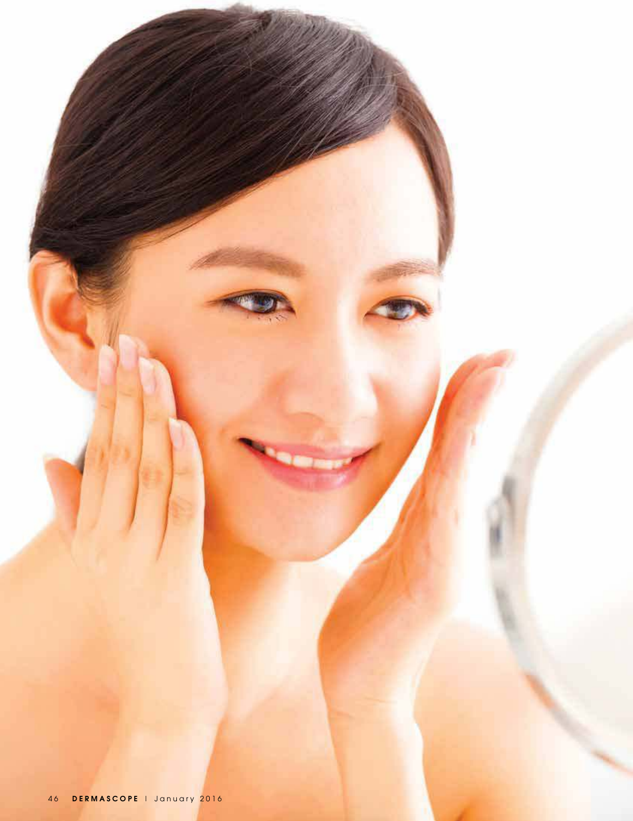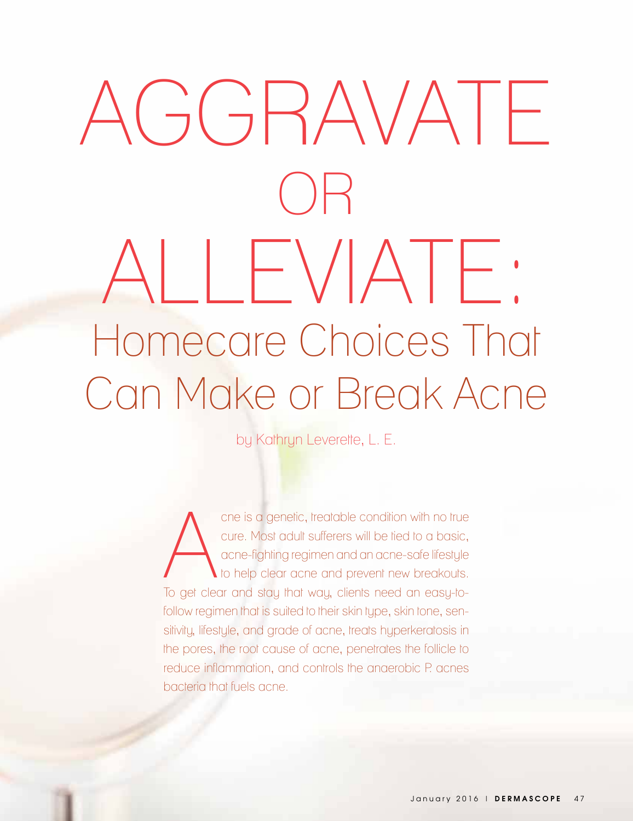# AggrAvAte or AlleviAte: Homecare Choices That Can Make or Break Acne

by Kathryn Leverette, L. E.

China is a genetic, treatable condition with no true<br>cure. Most adult sufferers will be tied to a basic,<br>acne-fighting regimen and an acne-safe lifestyle<br>to help clear acne and prevent new breakouts.<br>To get clear and stay cne is a genetic, treatable condition with no true cure. Most adult sufferers will be tied to a basic, acne-fighting regimen and an acne-safe lifestyle to help clear acne and prevent new breakouts. follow regimen that is suited to their skin type, skin tone, sensitivity, lifestyle, and grade of acne, treats hyperkeratosis in the pores, the root cause of acne, penetrates the follicle to reduce inflammation, and controls the anaerobic P. acnes bacteria that fuels acne.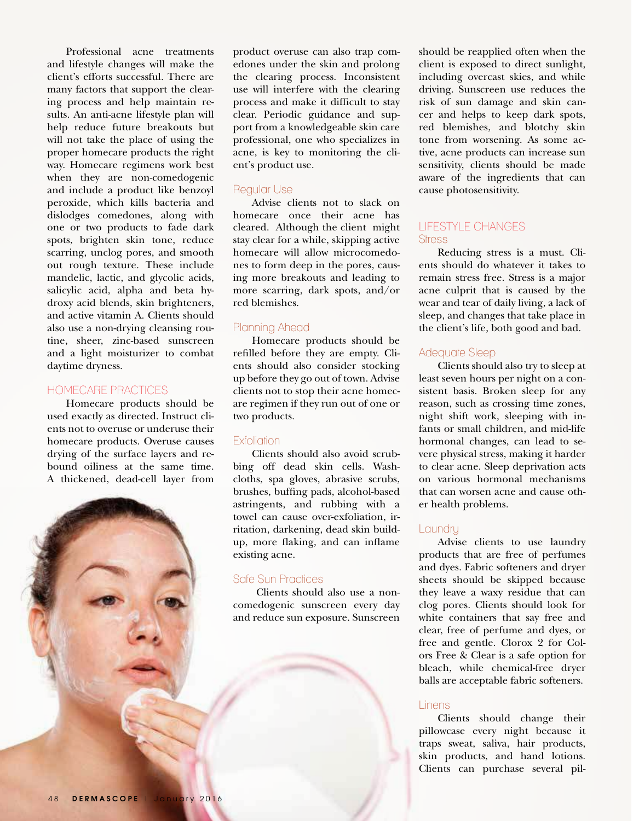Professional acne treatments and lifestyle changes will make the client's efforts successful. There are many factors that support the clearing process and help maintain results. An anti-acne lifestyle plan will help reduce future breakouts but will not take the place of using the proper homecare products the right way. Homecare regimens work best when they are non-comedogenic and include a product like benzoyl peroxide, which kills bacteria and dislodges comedones, along with one or two products to fade dark spots, brighten skin tone, reduce scarring, unclog pores, and smooth out rough texture. These include mandelic, lactic, and glycolic acids, salicylic acid, alpha and beta hydroxy acid blends, skin brighteners, and active vitamin A. Clients should also use a non-drying cleansing routine, sheer, zinc-based sunscreen and a light moisturizer to combat daytime dryness.

#### HoMeCAre PrACtiCeS

Homecare products should be used exactly as directed. Instruct clients not to overuse or underuse their homecare products. Overuse causes drying of the surface layers and rebound oiliness at the same time. A thickened, dead-cell layer from product overuse can also trap comedones under the skin and prolong the clearing process. Inconsistent use will interfere with the clearing process and make it difficult to stay clear. Periodic guidance and support from a knowledgeable skin care professional, one who specializes in acne, is key to monitoring the client's product use.

#### Regular Use

Advise clients not to slack on homecare once their acne has cleared. Although the client might stay clear for a while, skipping active homecare will allow microcomedones to form deep in the pores, causing more breakouts and leading to more scarring, dark spots, and/or red blemishes.

#### Planning Ahead

Homecare products should be refilled before they are empty. Clients should also consider stocking up before they go out of town. Advise clients not to stop their acne homecare regimen if they run out of one or two products.

#### **Exfoliation**

Clients should also avoid scrubbing off dead skin cells. Washcloths, spa gloves, abrasive scrubs, brushes, buffing pads, alcohol-based astringents, and rubbing with a towel can cause over-exfoliation, irritation, darkening, dead skin buildup, more flaking, and can inflame existing acne.

#### Safe Sun Practices

 Clients should also use a noncomedogenic sunscreen every day and reduce sun exposure. Sunscreen

should be reapplied often when the client is exposed to direct sunlight, including overcast skies, and while driving. Sunscreen use reduces the risk of sun damage and skin cancer and helps to keep dark spots, red blemishes, and blotchy skin tone from worsening. As some active, acne products can increase sun sensitivity, clients should be made aware of the ingredients that can cause photosensitivity.

#### liFeStYle CHANgeS **Stress**

Reducing stress is a must. Clients should do whatever it takes to remain stress free. Stress is a major acne culprit that is caused by the wear and tear of daily living, a lack of sleep, and changes that take place in the client's life, both good and bad.

#### Adequate Sleep

Clients should also try to sleep at least seven hours per night on a consistent basis. Broken sleep for any reason, such as crossing time zones, night shift work, sleeping with infants or small children, and mid-life hormonal changes, can lead to severe physical stress, making it harder to clear acne. Sleep deprivation acts on various hormonal mechanisms that can worsen acne and cause other health problems.

#### Laundry

Advise clients to use laundry products that are free of perfumes and dyes. Fabric softeners and dryer sheets should be skipped because they leave a waxy residue that can clog pores. Clients should look for white containers that say free and clear, free of perfume and dyes, or free and gentle. Clorox 2 for Colors Free & Clear is a safe option for bleach, while chemical-free dryer balls are acceptable fabric softeners.

#### **Linens**

Clients should change their pillowcase every night because it traps sweat, saliva, hair products, skin products, and hand lotions. Clients can purchase several pil-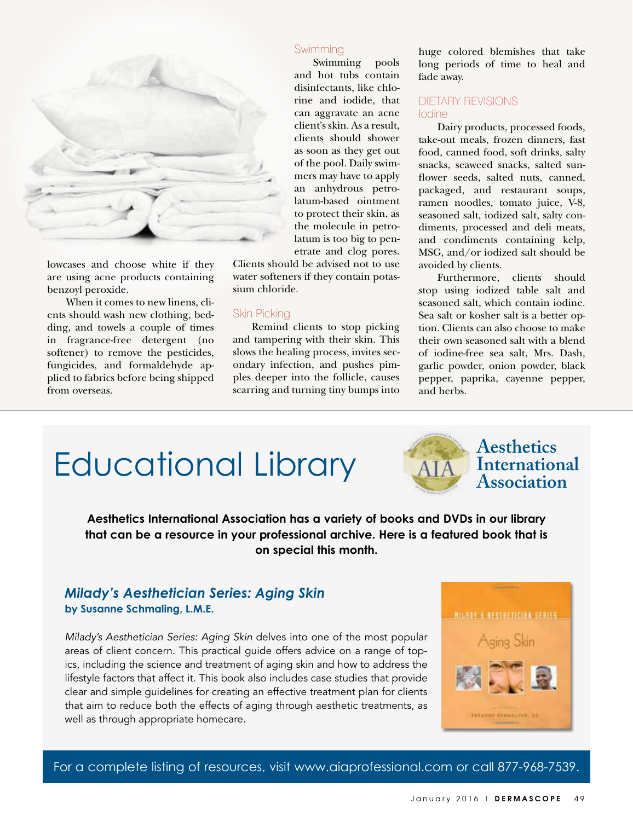

lowcases and choose white if they are using acne products containing benzoyl peroxide.

When it comes to new linens, clients should wash new clothing, bedding, and towels a couple of times in fragrance-free detergent (no softener) to remove the pesticides, fungicides, and formaldehyde applied to fabrics before being shipped from overseas.

#### Swimming

Swimming pools and hot tubs contain disinfectants, like chlorine and iodide, that can aggravate an acne client's skin. As a result, clients should shower as soon as they get out of the pool. Daily swimmers may have to apply an anhydrous petrolatum-based ointment to protect their skin, as the molecule in petrolatum is too big to penetrate and clog pores.

Clients should be advised not to use water softeners if they contain potassium chloride.

#### Skin Picking

Remind clients to stop picking and tampering with their skin. This slows the healing process, invites secondary infection, and pushes pimples deeper into the follicle, causes scarring and turning tiny bumps into

huge colored blemishes that take long periods of time to heal and fade away.

#### DIETARY REVISIONS iodine

Dairy products, processed foods, take-out meals, frozen dinners, fast food, canned food, soft drinks, salty snacks, seaweed snacks, salted sunflower seeds, salted nuts, canned, packaged, and restaurant soups, ramen noodles, tomato juice, V-8, seasoned salt, iodized salt, salty condiments, processed and deli meats, and condiments containing kelp, MSG, and/or iodized salt should be avoided by clients.

Furthermore, clients should stop using iodized table salt and seasoned salt, which contain iodine. Sea salt or kosher salt is a better option. Clients can also choose to make their own seasoned salt with a blend of iodine-free sea salt, Mrs. Dash, garlic powder, onion powder, black pepper, paprika, cayenne pepper, and herbs.

## **Educational Library AIA** International



**Aesthetics International Association has a variety of books and DVDs in our library that can be a resource in your professional archive. Here is a featured book that is on special this month.**

#### *Milady's Aesthetician Series: Aging Skin* **by Susanne Schmaling, L.M.E.**

Milady's Aesthetician Series: Aging Skin delves into one of the most popular areas of client concern. This practical guide offers advice on a range of topics, including the science and treatment of aging skin and how to address the lifestyle factors that affect it. This book also includes case studies that provide clear and simple guidelines for creating an effective treatment plan for clients that aim to reduce both the effects of aging through aesthetic treatments, as well as through appropriate homecare.



For a complete listing of resources, visit www.aiaprofessional.com or call 877-968-7539.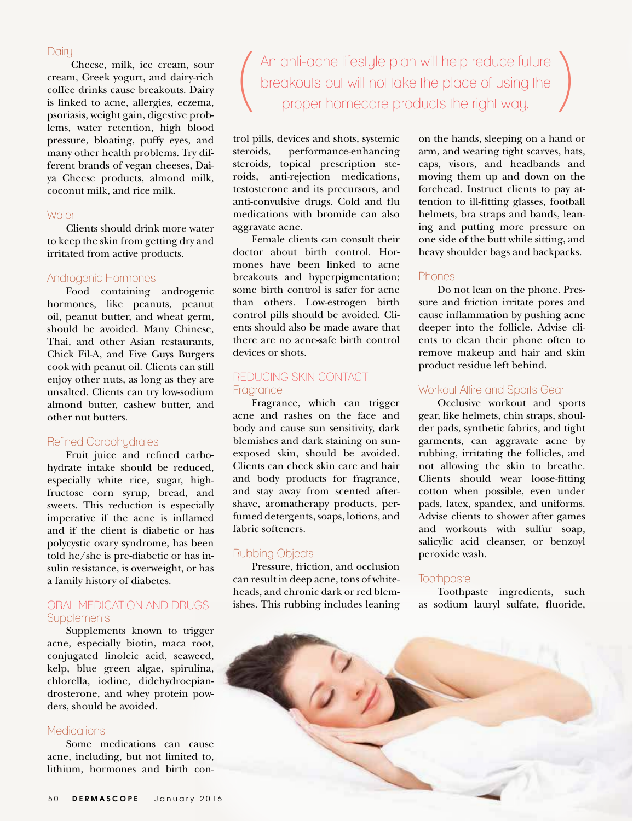#### **Dairy**

 Cheese, milk, ice cream, sour cream, Greek yogurt, and dairy-rich coffee drinks cause breakouts. Dairy is linked to acne, allergies, eczema, psoriasis, weight gain, digestive problems, water retention, high blood pressure, bloating, puffy eyes, and many other health problems. Try different brands of vegan cheeses, Daiya Cheese products, almond milk, coconut milk, and rice milk.

#### **Water**

Clients should drink more water to keep the skin from getting dry and irritated from active products.

#### Androgenic Hormones

Food containing androgenic hormones, like peanuts, peanut oil, peanut butter, and wheat germ, should be avoided. Many Chinese, Thai, and other Asian restaurants, Chick Fil-A, and Five Guys Burgers cook with peanut oil. Clients can still enjoy other nuts, as long as they are unsalted. Clients can try low-sodium almond butter, cashew butter, and other nut butters.

#### Refined Carbohydrates

Fruit juice and refined carbohydrate intake should be reduced, especially white rice, sugar, highfructose corn syrup, bread, and sweets. This reduction is especially imperative if the acne is inflamed and if the client is diabetic or has polycystic ovary syndrome, has been told he/she is pre-diabetic or has insulin resistance, is overweight, or has a family history of diabetes.

#### ORAL MEDICATION AND DRUGS **Supplements**

Supplements known to trigger acne, especially biotin, maca root, conjugated linoleic acid, seaweed, kelp, blue green algae, spirulina, chlorella, iodine, didehydroepiandrosterone, and whey protein powders, should be avoided.

#### **Medications**

Some medications can cause acne, including, but not limited to, lithium, hormones and birth con-

### An anti-acne lifestyle plan will help reduce future breakouts but will not take the place of using the An anti-acne lifestyle plan will help reduce future<br>breakouts but will not take the place of using the<br>proper homecare products the right way.

trol pills, devices and shots, systemic steroids, performance-enhancing steroids, topical prescription steroids, anti-rejection medications, testosterone and its precursors, and anti-convulsive drugs. Cold and flu medications with bromide can also aggravate acne.

Female clients can consult their doctor about birth control. Hormones have been linked to acne breakouts and hyperpigmentation; some birth control is safer for acne than others. Low-estrogen birth control pills should be avoided. Clients should also be made aware that there are no acne-safe birth control devices or shots.

#### reDUCiNg SKiN CoNtACt **Fragrance**

Fragrance, which can trigger acne and rashes on the face and body and cause sun sensitivity, dark blemishes and dark staining on sunexposed skin, should be avoided. Clients can check skin care and hair and body products for fragrance, and stay away from scented aftershave, aromatherapy products, perfumed detergents, soaps, lotions, and fabric softeners.

#### Rubbing Objects

Pressure, friction, and occlusion can result in deep acne, tons of whiteheads, and chronic dark or red blemishes. This rubbing includes leaning on the hands, sleeping on a hand or arm, and wearing tight scarves, hats, caps, visors, and headbands and moving them up and down on the forehead. Instruct clients to pay attention to ill-fitting glasses, football helmets, bra straps and bands, leaning and putting more pressure on one side of the butt while sitting, and heavy shoulder bags and backpacks.

#### Phones

Do not lean on the phone. Pressure and friction irritate pores and cause inflammation by pushing acne deeper into the follicle. Advise clients to clean their phone often to remove makeup and hair and skin product residue left behind.

#### Workout Attire and Sports Gear

Occlusive workout and sports gear, like helmets, chin straps, shoulder pads, synthetic fabrics, and tight garments, can aggravate acne by rubbing, irritating the follicles, and not allowing the skin to breathe. Clients should wear loose-fitting cotton when possible, even under pads, latex, spandex, and uniforms. Advise clients to shower after games and workouts with sulfur soap, salicylic acid cleanser, or benzoyl peroxide wash.

#### **Toothpaste**

Toothpaste ingredients, such as sodium lauryl sulfate, fluoride,